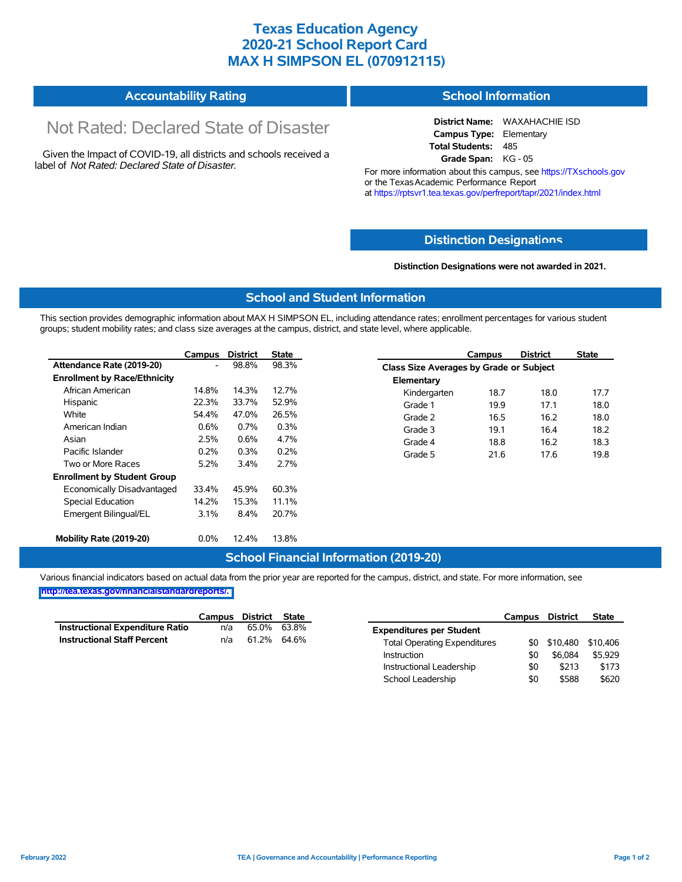## **Texas Education Agency 2020-21 School Report Card MAX H SIMPSON EL (070912115)**

#### **Accountability Rating School Information**

# Not Rated: Declared State of Disaster

Given the Impact of COVID-19, all districts and schools received a label of *Not Rated: Declared State of Disaster.*

**District Name:** WAXAHACHIE ISD **Campus Type:** Elementary **Total Students:** 485 **Grade Span:** KG - 05

For more information about this campus, see https://TXschools.gov or the Texas Academic Performance Report at https://rptsvr1.tea.texas.gov/perfreport/tapr/2021/index.html

#### **Distinction Designat[ions](https://TXschools.gov)**

**Distinction Designations were not awarded in 2021.**

School Leadership  $$0$  \$588 \$620

#### **School and Student Information**

This section provides demographic information about MAX H SIMPSON EL, including attendance rates; enrollment percentages for various student groups; student mobility rates; and class size averages at the campus, district, and state level, where applicable.

|                                     | Campus                   | <b>District</b> | <b>State</b> |              | Campus                                         | <b>District</b> | <b>State</b> |  |  |
|-------------------------------------|--------------------------|-----------------|--------------|--------------|------------------------------------------------|-----------------|--------------|--|--|
| Attendance Rate (2019-20)           | $\overline{\phantom{0}}$ | 98.8%           | 98.3%        |              | <b>Class Size Averages by Grade or Subject</b> |                 |              |  |  |
| <b>Enrollment by Race/Ethnicity</b> |                          |                 |              | Elementary   |                                                |                 |              |  |  |
| African American                    | 14.8%                    | 14.3%           | 12.7%        | Kindergarten | 18.7                                           | 18.0            | 17.7         |  |  |
| Hispanic                            | 22.3%                    | 33.7%           | 52.9%        | Grade 1      | 19.9                                           | 17.1            | 18.0         |  |  |
| White                               | 54.4%                    | 47.0%           | 26.5%        | Grade 2      | 16.5                                           | 16.2            | 18.0         |  |  |
| American Indian                     | 0.6%                     | $0.7\%$         | 0.3%         | Grade 3      | 19.1                                           | 16.4            | 18.2         |  |  |
| Asian                               | 2.5%                     | 0.6%            | 4.7%         | Grade 4      | 18.8                                           | 16.2            | 18.3         |  |  |
| Pacific Islander                    | 0.2%                     | 0.3%            | 0.2%         | Grade 5      | 21.6                                           | 17.6            | 19.8         |  |  |
| Two or More Races                   | 5.2%                     | 3.4%            | 2.7%         |              |                                                |                 |              |  |  |
| <b>Enrollment by Student Group</b>  |                          |                 |              |              |                                                |                 |              |  |  |
| Economically Disadvantaged          | 33.4%                    | 45.9%           | 60.3%        |              |                                                |                 |              |  |  |
| Special Education                   | 14.2%                    | 15.3%           | 11.1%        |              |                                                |                 |              |  |  |
| Emergent Bilingual/EL               | 3.1%                     | 8.4%            | 20.7%        |              |                                                |                 |              |  |  |
|                                     |                          |                 |              |              |                                                |                 |              |  |  |
| Mobility Rate (2019-20)             | $0.0\%$                  | 12.4%           | 13.8%        |              |                                                |                 |              |  |  |

#### **School Financial Information (2019-20)**

Various financial indicators based on actual data from the prior year are reported for the campus, district, and state. For more information, see

**[http://tea.texas.gov/financialstandardreports/.](http://tea.texas.gov/financialstandardreports/)**

|                                        | Campus | District | <b>State</b> |                                     | <b>Campus</b> | <b>District</b> | <b>State</b> |
|----------------------------------------|--------|----------|--------------|-------------------------------------|---------------|-----------------|--------------|
| <b>Instructional Expenditure Ratio</b> | n/a    | 65.0%    | 63.8%        | <b>Expenditures per Student</b>     |               |                 |              |
| <b>Instructional Staff Percent</b>     | n/a    | 61.2%    | 64.6%        | <b>Total Operating Expenditures</b> |               | \$0 \$10,480    | \$10.406     |
|                                        |        |          |              | Instruction                         | \$0           | \$6.084         | \$5,929      |
|                                        |        |          |              | Instructional Leadership            | \$0           | \$213           | \$173        |